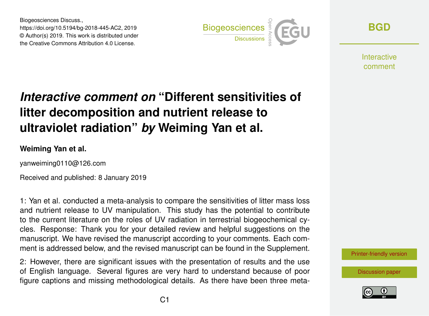Biogeosciences Discuss., https://doi.org/10.5194/bg-2018-445-AC2, 2019 © Author(s) 2019. This work is distributed under the Creative Commons Attribution 4.0 License.



**[BGD](https://www.biogeosciences-discuss.net/)**

**Interactive** comment

# *Interactive comment on* **"Different sensitivities of litter decomposition and nutrient release to ultraviolet radiation"** *by* **Weiming Yan et al.**

#### **Weiming Yan et al.**

yanweiming0110@126.com

Received and published: 8 January 2019

1: Yan et al. conducted a meta-analysis to compare the sensitivities of litter mass loss and nutrient release to UV manipulation. This study has the potential to contribute to the current literature on the roles of UV radiation in terrestrial biogeochemical cycles. Response: Thank you for your detailed review and helpful suggestions on the manuscript. We have revised the manuscript according to your comments. Each comment is addressed below, and the revised manuscript can be found in the Supplement.

2: However, there are significant issues with the presentation of results and the use of English language. Several figures are very hard to understand because of poor figure captions and missing methodological details. As there have been three meta-



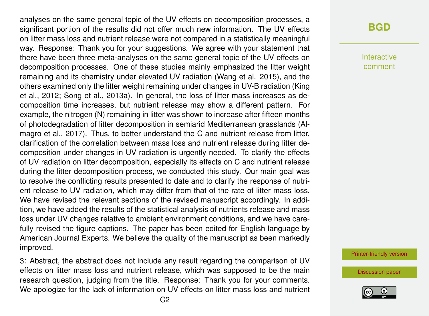analyses on the same general topic of the UV effects on decomposition processes, a significant portion of the results did not offer much new information. The UV effects on litter mass loss and nutrient release were not compared in a statistically meaningful way. Response: Thank you for your suggestions. We agree with your statement that there have been three meta-analyses on the same general topic of the UV effects on decomposition processes. One of these studies mainly emphasized the litter weight remaining and its chemistry under elevated UV radiation (Wang et al. 2015), and the others examined only the litter weight remaining under changes in UV-B radiation (King et al., 2012; Song et al., 2013a). In general, the loss of litter mass increases as decomposition time increases, but nutrient release may show a different pattern. For example, the nitrogen (N) remaining in litter was shown to increase after fifteen months of photodegradation of litter decomposition in semiarid Mediterranean grasslands (Almagro et al., 2017). Thus, to better understand the C and nutrient release from litter, clarification of the correlation between mass loss and nutrient release during litter decomposition under changes in UV radiation is urgently needed. To clarify the effects of UV radiation on litter decomposition, especially its effects on C and nutrient release during the litter decomposition process, we conducted this study. Our main goal was to resolve the conflicting results presented to date and to clarify the response of nutrient release to UV radiation, which may differ from that of the rate of litter mass loss. We have revised the relevant sections of the revised manuscript accordingly. In addition, we have added the results of the statistical analysis of nutrients release and mass loss under UV changes relative to ambient environment conditions, and we have carefully revised the figure captions. The paper has been edited for English language by American Journal Experts. We believe the quality of the manuscript as been markedly improved.

3: Abstract, the abstract does not include any result regarding the comparison of UV effects on litter mass loss and nutrient release, which was supposed to be the main research question, judging from the title. Response: Thank you for your comments. We apologize for the lack of information on UV effects on litter mass loss and nutrient

### **[BGD](https://www.biogeosciences-discuss.net/)**

Interactive comment

[Printer-friendly version](https://www.biogeosciences-discuss.net/bg-2018-445/bg-2018-445-AC2-print.pdf)

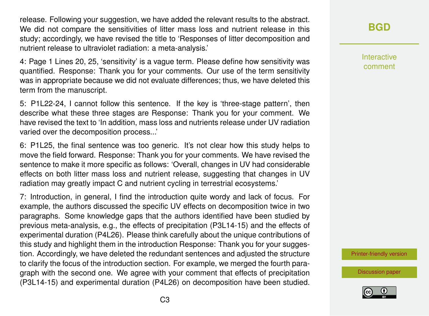release. Following your suggestion, we have added the relevant results to the abstract. We did not compare the sensitivities of litter mass loss and nutrient release in this study; accordingly, we have revised the title to 'Responses of litter decomposition and nutrient release to ultraviolet radiation: a meta-analysis.'

4: Page 1 Lines 20, 25, 'sensitivity' is a vague term. Please define how sensitivity was quantified. Response: Thank you for your comments. Our use of the term sensitivity was in appropriate because we did not evaluate differences; thus, we have deleted this term from the manuscript.

5: P1L22-24, I cannot follow this sentence. If the key is 'three-stage pattern', then describe what these three stages are Response: Thank you for your comment. We have revised the text to 'In addition, mass loss and nutrients release under UV radiation varied over the decomposition process...'

6: P1L25, the final sentence was too generic. It's not clear how this study helps to move the field forward. Response: Thank you for your comments. We have revised the sentence to make it more specific as follows: 'Overall, changes in UV had considerable effects on both litter mass loss and nutrient release, suggesting that changes in UV radiation may greatly impact C and nutrient cycling in terrestrial ecosystems.'

7: Introduction, in general, I find the introduction quite wordy and lack of focus. For example, the authors discussed the specific UV effects on decomposition twice in two paragraphs. Some knowledge gaps that the authors identified have been studied by previous meta-analysis, e.g., the effects of precipitation (P3L14-15) and the effects of experimental duration (P4L26). Please think carefully about the unique contributions of this study and highlight them in the introduction Response: Thank you for your suggestion. Accordingly, we have deleted the redundant sentences and adjusted the structure to clarify the focus of the introduction section. For example, we merged the fourth paragraph with the second one. We agree with your comment that effects of precipitation (P3L14-15) and experimental duration (P4L26) on decomposition have been studied. **[BGD](https://www.biogeosciences-discuss.net/)**

Interactive comment

[Printer-friendly version](https://www.biogeosciences-discuss.net/bg-2018-445/bg-2018-445-AC2-print.pdf)

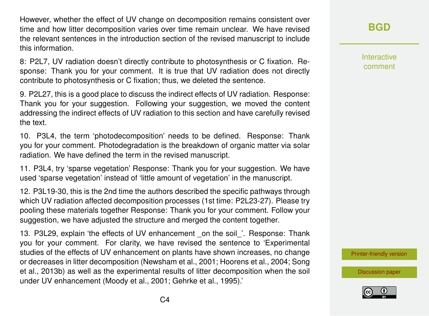However, whether the effect of UV change on decomposition remains consistent over time and how litter decomposition varies over time remain unclear. We have revised the relevant sentences in the introduction section of the revised manuscript to include this information.

8: P2L7, UV radiation doesn't directly contribute to photosynthesis or C fixation. Response: Thank you for your comment. It is true that UV radiation does not directly contribute to photosynthesis or C fixation; thus, we deleted the sentence.

9. P2L27, this is a good place to discuss the indirect effects of UV radiation. Response: Thank you for your suggestion. Following your suggestion, we moved the content addressing the indirect effects of UV radiation to this section and have carefully revised the text.

10. P3L4, the term 'photodecomposition' needs to be defined. Response: Thank you for your comment. Photodegradation is the breakdown of organic matter via solar radiation. We have defined the term in the revised manuscript.

11. P3L4, try 'sparse vegetation' Response: Thank you for your suggestion. We have used 'sparse vegetation' instead of 'little amount of vegetation' in the manuscript.

12. P3L19-30, this is the 2nd time the authors described the specific pathways through which UV radiation affected decomposition processes (1st time: P2L23-27). Please try pooling these materials together Response: Thank you for your comment. Follow your suggestion, we have adjusted the structure and merged the content together.

13. P3L29, explain 'the effects of UV enhancement on the soil '. Response: Thank you for your comment. For clarity, we have revised the sentence to 'Experimental studies of the effects of UV enhancement on plants have shown increases, no change or decreases in litter decomposition (Newsham et al., 2001; Hoorens et al., 2004; Song et al., 2013b) as well as the experimental results of litter decomposition when the soil under UV enhancement (Moody et al., 2001; Gehrke et al., 1995).'

**[BGD](https://www.biogeosciences-discuss.net/)**

Interactive comment

[Printer-friendly version](https://www.biogeosciences-discuss.net/bg-2018-445/bg-2018-445-AC2-print.pdf)

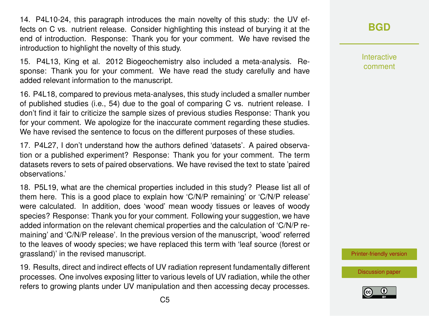14. P4L10-24, this paragraph introduces the main novelty of this study: the UV effects on C vs. nutrient release. Consider highlighting this instead of burying it at the end of introduction. Response: Thank you for your comment. We have revised the introduction to highlight the novelty of this study.

15. P4L13, King et al. 2012 Biogeochemistry also included a meta-analysis. Response: Thank you for your comment. We have read the study carefully and have added relevant information to the manuscript.

16. P4L18, compared to previous meta-analyses, this study included a smaller number of published studies (i.e., 54) due to the goal of comparing C vs. nutrient release. I don't find it fair to criticize the sample sizes of previous studies Response: Thank you for your comment. We apologize for the inaccurate comment regarding these studies. We have revised the sentence to focus on the different purposes of these studies.

17. P4L27, I don't understand how the authors defined 'datasets'. A paired observation or a published experiment? Response: Thank you for your comment. The term datasets revers to sets of paired observations. We have revised the text to state 'paired observations.'

18. P5L19, what are the chemical properties included in this study? Please list all of them here. This is a good place to explain how 'C/N/P remaining' or 'C/N/P release' were calculated. In addition, does 'wood' mean woody tissues or leaves of woody species? Response: Thank you for your comment. Following your suggestion, we have added information on the relevant chemical properties and the calculation of 'C/N/P remaining' and 'C/N/P release'. In the previous version of the manuscript, 'wood' referred to the leaves of woody species; we have replaced this term with 'leaf source (forest or grassland)' in the revised manuscript.

19. Results, direct and indirect effects of UV radiation represent fundamentally different processes. One involves exposing litter to various levels of UV radiation, while the other refers to growing plants under UV manipulation and then accessing decay processes.

**[BGD](https://www.biogeosciences-discuss.net/)**

Interactive comment

[Printer-friendly version](https://www.biogeosciences-discuss.net/bg-2018-445/bg-2018-445-AC2-print.pdf)

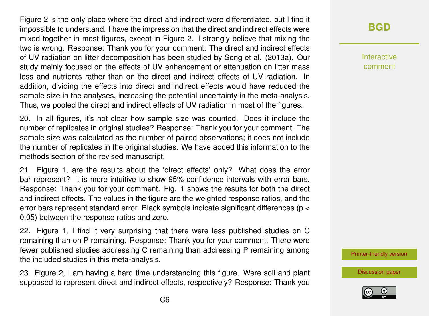Figure 2 is the only place where the direct and indirect were differentiated, but I find it impossible to understand. I have the impression that the direct and indirect effects were mixed together in most figures, except in Figure 2. I strongly believe that mixing the two is wrong. Response: Thank you for your comment. The direct and indirect effects of UV radiation on litter decomposition has been studied by Song et al. (2013a). Our study mainly focused on the effects of UV enhancement or attenuation on litter mass loss and nutrients rather than on the direct and indirect effects of UV radiation. In addition, dividing the effects into direct and indirect effects would have reduced the sample size in the analyses, increasing the potential uncertainty in the meta-analysis. Thus, we pooled the direct and indirect effects of UV radiation in most of the figures.

20. In all figures, it's not clear how sample size was counted. Does it include the number of replicates in original studies? Response: Thank you for your comment. The sample size was calculated as the number of paired observations; it does not include the number of replicates in the original studies. We have added this information to the methods section of the revised manuscript.

21. Figure 1, are the results about the 'direct effects' only? What does the error bar represent? It is more intuitive to show 95% confidence intervals with error bars. Response: Thank you for your comment. Fig. 1 shows the results for both the direct and indirect effects. The values in the figure are the weighted response ratios, and the error bars represent standard error. Black symbols indicate significant differences (p < 0.05) between the response ratios and zero.

22. Figure 1, I find it very surprising that there were less published studies on C remaining than on P remaining. Response: Thank you for your comment. There were fewer published studies addressing C remaining than addressing P remaining among the included studies in this meta-analysis.

23. Figure 2, I am having a hard time understanding this figure. Were soil and plant supposed to represent direct and indirect effects, respectively? Response: Thank you

# **[BGD](https://www.biogeosciences-discuss.net/)**

Interactive comment

[Printer-friendly version](https://www.biogeosciences-discuss.net/bg-2018-445/bg-2018-445-AC2-print.pdf)

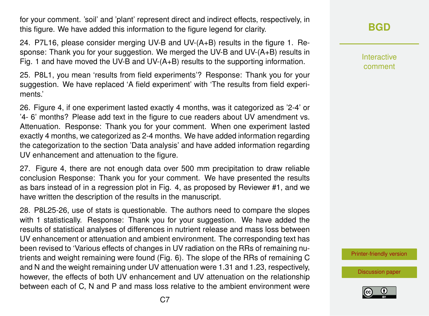for your comment. 'soil' and 'plant' represent direct and indirect effects, respectively, in this figure. We have added this information to the figure legend for clarity.

24. P7L16, please consider merging UV-B and UV-(A+B) results in the figure 1. Response: Thank you for your suggestion. We merged the UV-B and UV-(A+B) results in Fig. 1 and have moved the UV-B and UV- $(A+B)$  results to the supporting information.

25. P8L1, you mean 'results from field experiments'? Response: Thank you for your suggestion. We have replaced 'A field experiment' with 'The results from field experiments.'

26. Figure 4, if one experiment lasted exactly 4 months, was it categorized as '2-4' or '4- 6' months? Please add text in the figure to cue readers about UV amendment vs. Attenuation. Response: Thank you for your comment. When one experiment lasted exactly 4 months, we categorized as 2-4 months. We have added information regarding the categorization to the section 'Data analysis' and have added information regarding UV enhancement and attenuation to the figure.

27. Figure 4, there are not enough data over 500 mm precipitation to draw reliable conclusion Response: Thank you for your comment. We have presented the results as bars instead of in a regression plot in Fig. 4, as proposed by Reviewer #1, and we have written the description of the results in the manuscript.

28. P8L25-26, use of stats is questionable. The authors need to compare the slopes with 1 statistically. Response: Thank you for your suggestion. We have added the results of statistical analyses of differences in nutrient release and mass loss between UV enhancement or attenuation and ambient environment. The corresponding text has been revised to 'Various effects of changes in UV radiation on the RRs of remaining nutrients and weight remaining were found (Fig. 6). The slope of the RRs of remaining C and N and the weight remaining under UV attenuation were 1.31 and 1.23, respectively, however, the effects of both UV enhancement and UV attenuation on the relationship between each of C, N and P and mass loss relative to the ambient environment were Interactive comment

[Printer-friendly version](https://www.biogeosciences-discuss.net/bg-2018-445/bg-2018-445-AC2-print.pdf)

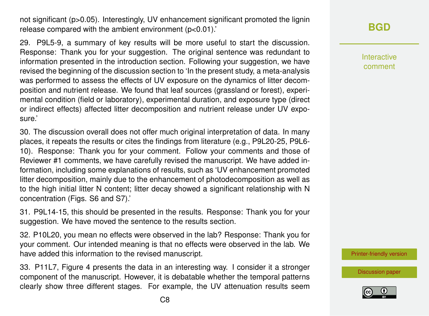not significant (p>0.05). Interestingly, UV enhancement significant promoted the lignin release compared with the ambient environment (p<0.01).'

29. P9L5-9, a summary of key results will be more useful to start the discussion. Response: Thank you for your suggestion. The original sentence was redundant to information presented in the introduction section. Following your suggestion, we have revised the beginning of the discussion section to 'In the present study, a meta-analysis was performed to assess the effects of UV exposure on the dynamics of litter decomposition and nutrient release. We found that leaf sources (grassland or forest), experimental condition (field or laboratory), experimental duration, and exposure type (direct or indirect effects) affected litter decomposition and nutrient release under UV exposure.'

30. The discussion overall does not offer much original interpretation of data. In many places, it repeats the results or cites the findings from literature (e.g., P9L20-25, P9L6- 10). Response: Thank you for your comment. Follow your comments and those of Reviewer #1 comments, we have carefully revised the manuscript. We have added information, including some explanations of results, such as 'UV enhancement promoted litter decomposition, mainly due to the enhancement of photodecomposition as well as to the high initial litter N content; litter decay showed a significant relationship with N concentration (Figs. S6 and S7).'

31. P9L14-15, this should be presented in the results. Response: Thank you for your suggestion. We have moved the sentence to the results section.

32. P10L20, you mean no effects were observed in the lab? Response: Thank you for your comment. Our intended meaning is that no effects were observed in the lab. We have added this information to the revised manuscript.

33. P11L7, Figure 4 presents the data in an interesting way. I consider it a stronger component of the manuscript. However, it is debatable whether the temporal patterns clearly show three different stages. For example, the UV attenuation results seem **[BGD](https://www.biogeosciences-discuss.net/)**

Interactive comment

[Printer-friendly version](https://www.biogeosciences-discuss.net/bg-2018-445/bg-2018-445-AC2-print.pdf)